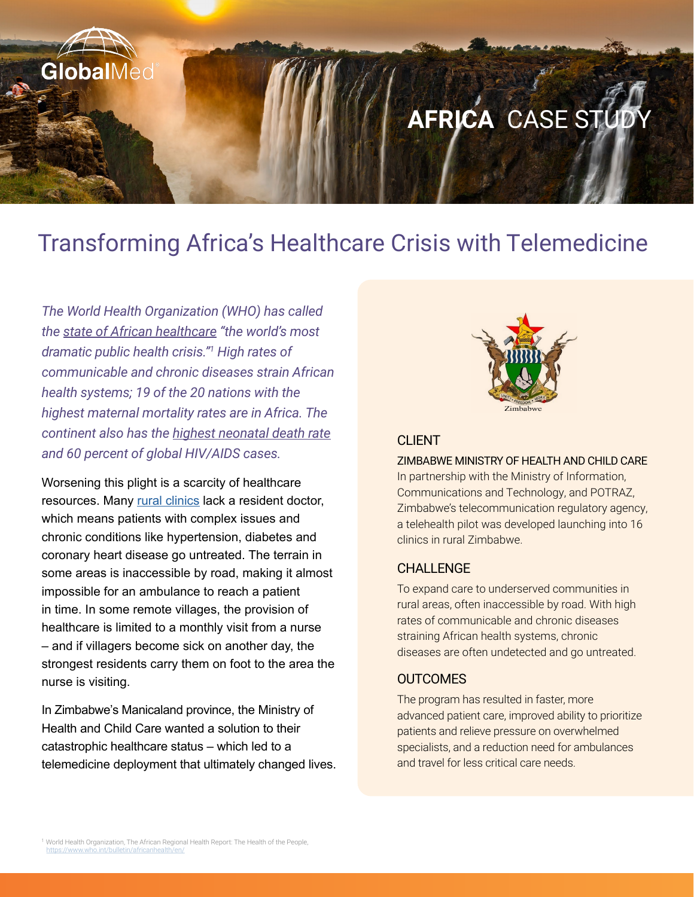

# Transforming Africa's Healthcare Crisis with Telemedicine

*The World Health Organization (WHO) has called the [state of African healthcare](http://globalmed.com/globalmed-expands-its-footprint-in-africa/) "the world's most dramatic public health crisis."1 High rates of communicable and chronic diseases strain African health systems; 19 of the 20 nations with the highest maternal mortality rates are in Africa. The continent also has the [highest neonatal death rate](http://globalmed.com/telemedicine-in-the-golden-hour-saving-neonatal-lives/) and 60 percent of global HIV/AIDS cases.* 

Worsening this plight is a scarcity of healthcare resources. Many [rural clinics](http://globalmed.com/bridging-the-digital-divide-expanding-internet-and-healthcare-access/) lack a resident doctor, which means patients with complex issues and chronic conditions like hypertension, diabetes and coronary heart disease go untreated. The terrain in some areas is inaccessible by road, making it almost impossible for an ambulance to reach a patient in time. In some remote villages, the provision of healthcare is limited to a monthly visit from a nurse – and if villagers become sick on another day, the strongest residents carry them on foot to the area the nurse is visiting.

In Zimbabwe's Manicaland province, the Ministry of Health and Child Care wanted a solution to their catastrophic healthcare status – which led to a telemedicine deployment that ultimately changed lives.



### CLIENT.

#### ZIMBABWE MINISTRY OF HEALTH AND CHILD CARE

In partnership with the Ministry of Information, Communications and Technology, and POTRAZ, Zimbabwe's telecommunication regulatory agency, a telehealth pilot was developed launching into 16 clinics in rural Zimbabwe.

### CHALLENGE

To expand care to underserved communities in rural areas, often inaccessible by road. With high rates of communicable and chronic diseases straining African health systems, chronic diseases are often undetected and go untreated.

#### **OUTCOMES**

The program has resulted in faster, more advanced patient care, improved ability to prioritize patients and relieve pressure on overwhelmed specialists, and a reduction need for ambulances and travel for less critical care needs.

<sup>&</sup>lt;sup>1</sup> World Health Organization, The African Regional Health Report: The Health of the People, https://www.who.int/bulletin/africanhealth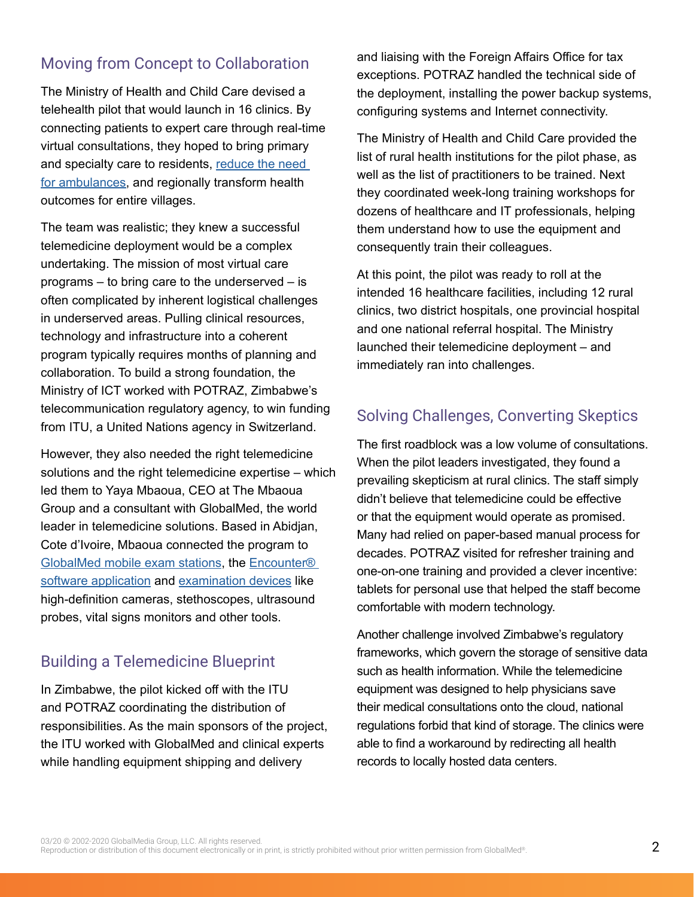## Moving from Concept to Collaboration

The Ministry of Health and Child Care devised a telehealth pilot that would launch in 16 clinics. By connecting patients to expert care through real-time virtual consultations, they hoped to bring primary and specialty care to residents, [reduce the need](http://globalmed.com/will-teleparamedicine-save-your-life/)  [for ambulances](http://globalmed.com/will-teleparamedicine-save-your-life/), and regionally transform health outcomes for entire villages.

The team was realistic; they knew a successful telemedicine deployment would be a complex undertaking. The mission of most virtual care programs – to bring care to the underserved – is often complicated by inherent logistical challenges in underserved areas. Pulling clinical resources, technology and infrastructure into a coherent program typically requires months of planning and collaboration. To build a strong foundation, the Ministry of ICT worked with POTRAZ, Zimbabwe's telecommunication regulatory agency, to win funding from ITU, a United Nations agency in Switzerland.

However, they also needed the right telemedicine solutions and the right telemedicine expertise – which led them to Yaya Mbaoua, CEO at The Mbaoua Group and a consultant with GlobalMed, the world leader in telemedicine solutions. Based in Abidjan, Cote d'Ivoire, Mbaoua connected the program to [GlobalMed mobile exam stations,](http://globalmed.com/telemedicine-stations/) the [Encounter®](http://globalmed.com/solutions/software-solutions/encounter-software/)  [software application](http://globalmed.com/solutions/software-solutions/encounter-software/) and [examination devices](http://globalmed.com/solutions/connected-devices/) like high-definition cameras, stethoscopes, ultrasound probes, vital signs monitors and other tools.

# Building a Telemedicine Blueprint

In Zimbabwe, the pilot kicked off with the ITU and POTRAZ coordinating the distribution of responsibilities. As the main sponsors of the project, the ITU worked with GlobalMed and clinical experts while handling equipment shipping and delivery

and liaising with the Foreign Affairs Office for tax exceptions. POTRAZ handled the technical side of the deployment, installing the power backup systems, configuring systems and Internet connectivity.

The Ministry of Health and Child Care provided the list of rural health institutions for the pilot phase, as well as the list of practitioners to be trained. Next they coordinated week-long training workshops for dozens of healthcare and IT professionals, helping them understand how to use the equipment and consequently train their colleagues.

At this point, the pilot was ready to roll at the intended 16 healthcare facilities, including 12 rural clinics, two district hospitals, one provincial hospital and one national referral hospital. The Ministry launched their telemedicine deployment – and immediately ran into challenges.

# Solving Challenges, Converting Skeptics

The first roadblock was a low volume of consultations. When the pilot leaders investigated, they found a prevailing skepticism at rural clinics. The staff simply didn't believe that telemedicine could be effective or that the equipment would operate as promised. Many had relied on paper-based manual process for decades. POTRAZ visited for refresher training and one-on-one training and provided a clever incentive: tablets for personal use that helped the staff become comfortable with modern technology.

Another challenge involved Zimbabwe's regulatory frameworks, which govern the storage of sensitive data such as health information. While the telemedicine equipment was designed to help physicians save their medical consultations onto the cloud, national regulations forbid that kind of storage. The clinics were able to find a workaround by redirecting all health records to locally hosted data centers.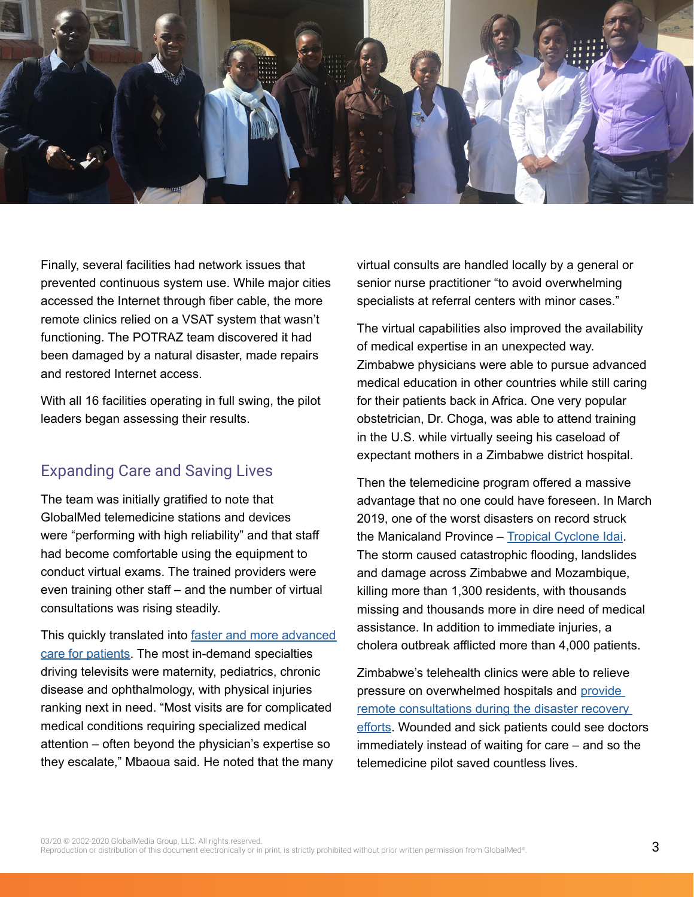

Finally, several facilities had network issues that prevented continuous system use. While major cities accessed the Internet through fiber cable, the more remote clinics relied on a VSAT system that wasn't functioning. The POTRAZ team discovered it had been damaged by a natural disaster, made repairs and restored Internet access.

With all 16 facilities operating in full swing, the pilot leaders began assessing their results.

### Expanding Care and Saving Lives

The team was initially gratified to note that GlobalMed telemedicine stations and devices were "performing with high reliability" and that staff had become comfortable using the equipment to conduct virtual exams. The trained providers were even training other staff – and the number of virtual consultations was rising steadily.

This quickly translated into [faster and more advanced](http://globalmed.com/the-8-elements-of-good-telemedicine-training/)  [care for patients.](http://globalmed.com/the-8-elements-of-good-telemedicine-training/) The most in-demand specialties driving televisits were maternity, pediatrics, chronic disease and ophthalmology, with physical injuries ranking next in need. "Most visits are for complicated medical conditions requiring specialized medical attention – often beyond the physician's expertise so they escalate," Mbaoua said. He noted that the many

virtual consults are handled locally by a general or senior nurse practitioner "to avoid overwhelming specialists at referral centers with minor cases."

The virtual capabilities also improved the availability of medical expertise in an unexpected way. Zimbabwe physicians were able to pursue advanced medical education in other countries while still caring for their patients back in Africa. One very popular obstetrician, Dr. Choga, was able to attend training in the U.S. while virtually seeing his caseload of expectant mothers in a Zimbabwe district hospital.

Then the telemedicine program offered a massive advantage that no one could have foreseen. In March 2019, one of the worst disasters on record struck the Manicaland Province – [Tropical Cyclone Idai.](http://blogs.nasa.gov/hurricanes/tag/idai-2019/) The storm caused catastrophic flooding, landslides and damage across Zimbabwe and Mozambique, killing more than 1,300 residents, with thousands missing and thousands more in dire need of medical assistance. In addition to immediate injuries, a cholera outbreak afflicted more than 4,000 patients.

Zimbabwe's telehealth clinics were able to relieve pressure on overwhelmed hospitals and [provide](http://globalmed.com/transforming-disaster-recovery-with-telemedicine/)  [remote consultations during the disaster recovery](http://globalmed.com/transforming-disaster-recovery-with-telemedicine/)  [efforts](http://globalmed.com/transforming-disaster-recovery-with-telemedicine/). Wounded and sick patients could see doctors immediately instead of waiting for care – and so the telemedicine pilot saved countless lives.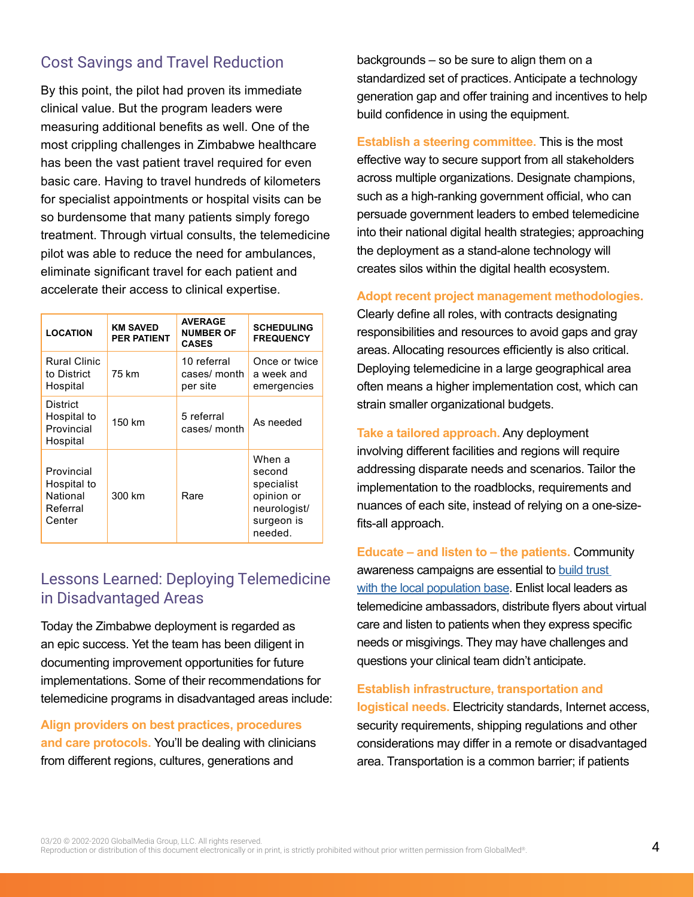## Cost Savings and Travel Reduction

By this point, the pilot had proven its immediate clinical value. But the program leaders were measuring additional benefits as well. One of the most crippling challenges in Zimbabwe healthcare has been the vast patient travel required for even basic care. Having to travel hundreds of kilometers for specialist appointments or hospital visits can be so burdensome that many patients simply forego treatment. Through virtual consults, the telemedicine pilot was able to reduce the need for ambulances, eliminate significant travel for each patient and accelerate their access to clinical expertise.

| <b>LOCATION</b>                                             | <b>KM SAVED</b><br><b>PER PATIENT</b> | <b>AVERAGE</b><br><b>NUMBER OF</b><br><b>CASES</b> | <b>SCHEDULING</b><br><b>FREQUENCY</b>                                                 |
|-------------------------------------------------------------|---------------------------------------|----------------------------------------------------|---------------------------------------------------------------------------------------|
| <b>Rural Clinic</b><br>to District<br>Hospital              | 75 km                                 | 10 referral<br>cases/ month<br>per site            | Once or twice<br>a week and<br>emergencies                                            |
| <b>District</b><br>Hospital to<br>Provincial<br>Hospital    | 150 km                                | 5 referral<br>cases/ month                         | As needed                                                                             |
| Provincial<br>Hospital to<br>National<br>Referral<br>Center | 300 km                                | Rare                                               | When a<br>second<br>specialist<br>opinion or<br>neurologist/<br>surgeon is<br>needed. |

### Lessons Learned: Deploying Telemedicine in Disadvantaged Areas

Today the Zimbabwe deployment is regarded as an epic success. Yet the team has been diligent in documenting improvement opportunities for future implementations. Some of their recommendations for telemedicine programs in disadvantaged areas include:

**Align providers on best practices, procedures and care protocols.** You'll be dealing with clinicians from different regions, cultures, generations and

backgrounds – so be sure to align them on a standardized set of practices. Anticipate a technology generation gap and offer training and incentives to help build confidence in using the equipment.

**Establish a steering committee.** This is the most effective way to secure support from all stakeholders across multiple organizations. Designate champions, such as a high-ranking government official, who can persuade government leaders to embed telemedicine into their national digital health strategies; approaching the deployment as a stand-alone technology will creates silos within the digital health ecosystem.

**Adopt recent project management methodologies.** 

Clearly define all roles, with contracts designating responsibilities and resources to avoid gaps and gray areas. Allocating resources efficiently is also critical. Deploying telemedicine in a large geographical area often means a higher implementation cost, which can strain smaller organizational budgets.

**Take a tailored approach.** Any deployment involving different facilities and regions will require addressing disparate needs and scenarios. Tailor the implementation to the roadblocks, requirements and nuances of each site, instead of relying on a one-sizefits-all approach.

**Educate – and listen to – the patients.** Community awareness campaigns are essential to [build trust](http://globalmed.com/telemedicine-and-the-patient-education-gap/)  [with the local population base](http://globalmed.com/telemedicine-and-the-patient-education-gap/). Enlist local leaders as telemedicine ambassadors, distribute flyers about virtual care and listen to patients when they express specific needs or misgivings. They may have challenges and questions your clinical team didn't anticipate.

#### **Establish infrastructure, transportation and**

**logistical needs.** Electricity standards, Internet access, security requirements, shipping regulations and other considerations may differ in a remote or disadvantaged area. Transportation is a common barrier; if patients